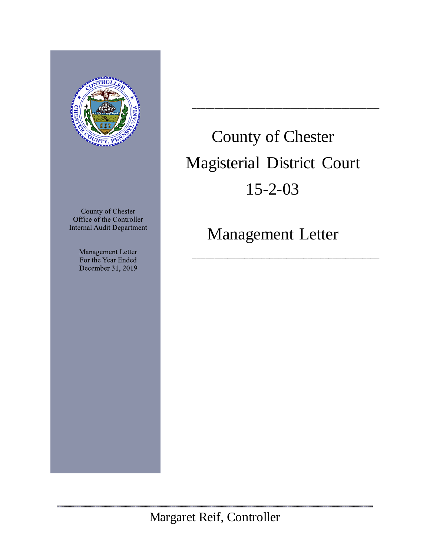

County of Chester Office of the Controller **Internal Audit Department** 

> Management Letter For the Year Ended December 31, 2019

# County of Chester Magisterial District Court 15-2-03

\_\_\_\_\_\_\_\_\_\_\_\_\_\_\_\_\_\_\_\_\_\_\_\_\_\_\_\_\_\_\_\_\_\_\_\_\_\_\_\_\_\_\_\_

Management Letter

\_\_\_\_\_\_\_\_\_\_\_\_\_\_\_\_\_\_\_\_\_\_\_\_\_\_\_\_\_\_\_\_\_\_\_\_\_\_\_\_\_\_\_\_

.......................

Margaret Reif, Controller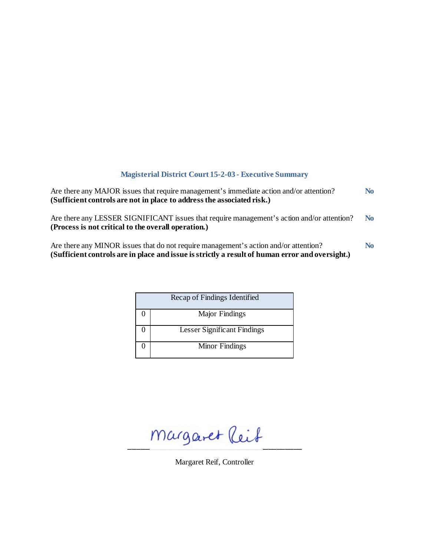# **Magisterial District Court 15-2-03 - Executive Summary**

| Are there any MAJOR issues that require management's immediate action and/or attention?<br>(Sufficient controls are not in place to address the associated risk.)                       | N <sub>0</sub> |
|-----------------------------------------------------------------------------------------------------------------------------------------------------------------------------------------|----------------|
| Are there any LESSER SIGNIFICANT issues that require management's action and/or attention?<br>(Process is not critical to the overall operation.)                                       | N <sub>0</sub> |
| Are there any MINOR issues that do not require management's action and/or attention?<br>(Sufficient controls are in place and issue is strictly a result of human error and oversight.) | N <sub>0</sub> |

| Recap of Findings Identified |
|------------------------------|
| Major Findings               |
| Lesser Significant Findings  |
| Minor Findings               |

 $m$ argaret (leit

Margaret Reif, Controller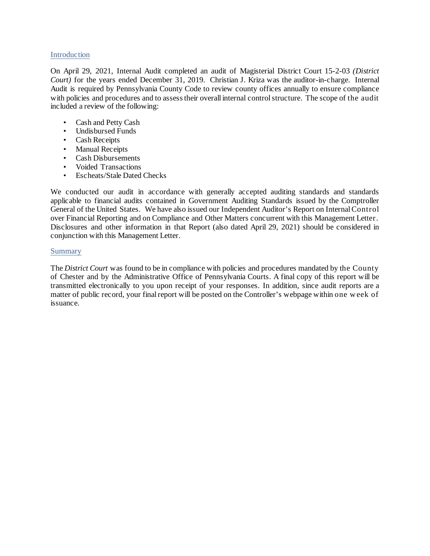#### Introduction

On April 29, 2021, Internal Audit completed an audit of Magisterial District Court 15-2-03 *(District Court)* for the years ended December 31, 2019. Christian J. Kriza was the auditor-in-charge. Internal Audit is required by Pennsylvania County Code to review county offices annually to ensure compliance with policies and procedures and to assess their overall internal control structure. The scope of the audit included a review of the following:

- Cash and Petty Cash
- Undisbursed Funds
- Cash Receipts
- Manual Receipts
- Cash Disbursements
- Voided Transactions
- Escheats/Stale Dated Checks

We conducted our audit in accordance with generally accepted auditing standards and standards applicable to financial audits contained in Government Auditing Standards issued by the Comptroller General of the United States. We have also issued our Independent Auditor's Report on Internal Control over Financial Reporting and on Compliance and Other Matters concurrent with this Management Letter. Disclosures and other information in that Report (also dated April 29, 2021) should be considered in conjunction with this Management Letter.

### **Summary**

The *District Court* was found to be in compliance with policies and procedures mandated by the County of Chester and by the Administrative Office of Pennsylvania Courts. A final copy of this report will be transmitted electronically to you upon receipt of your responses. In addition, since audit reports are a matter of public record, your final report will be posted on the Controller's webpage within one w eek of issuance.